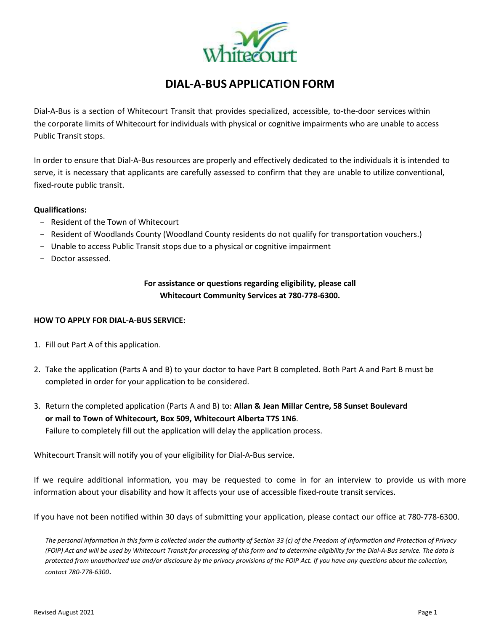

# **DIAL-A-BUS APPLICATIONFORM**

Dial-A-Bus is a section of Whitecourt Transit that provides specialized, accessible, to-the-door services within the corporate limits of Whitecourt for individuals with physical or cognitive impairments who are unable to access Public Transit stops.

In order to ensure that Dial-A-Bus resources are properly and effectively dedicated to the individuals it is intended to serve, it is necessary that applicants are carefully assessed to confirm that they are unable to utilize conventional, fixed-route public transit.

#### **Qualifications:**

- Resident of the Town of Whitecourt
- Resident of Woodlands County (Woodland County residents do not qualify for transportation vouchers.)
- Unable to access Public Transit stops due to a physical or cognitive impairment
- Doctor assessed.

### **For assistance or questions regarding eligibility, please call Whitecourt Community Services at 780-778-6300.**

#### **HOW TO APPLY FOR DIAL-A-BUS SERVICE:**

- 1. Fill out Part A of this application.
- 2. Take the application (Parts A and B) to your doctor to have Part B completed. Both Part A and Part B must be completed in order for your application to be considered.
- 3. Return the completed application (Parts A and B) to: **Allan & Jean Millar Centre, 58 Sunset Boulevard or mail to Town of Whitecourt, Box 509, Whitecourt Alberta T7S 1N6**. Failure to completely fill out the application will delay the application process.

Whitecourt Transit will notify you of your eligibility for Dial-A-Bus service.

If we require additional information, you may be requested to come in for an interview to provide us with more information about your disability and how it affects your use of accessible fixed-route transit services.

If you have not been notified within 30 days of submitting your application, please contact our office at 780-778-6300.

The personal information in this form is collected under the authority of Section 33 (c) of the Freedom of Information and Protection of Privacy (FOIP) Act and will be used by Whitecourt Transit for processing of this form and to determine eligibility for the Dial-A-Bus service. The data is protected from unauthorized use and/or disclosure by the privacy provisions of the FOIP Act. If you have any questions about the collection, *contact 780-778-6300*.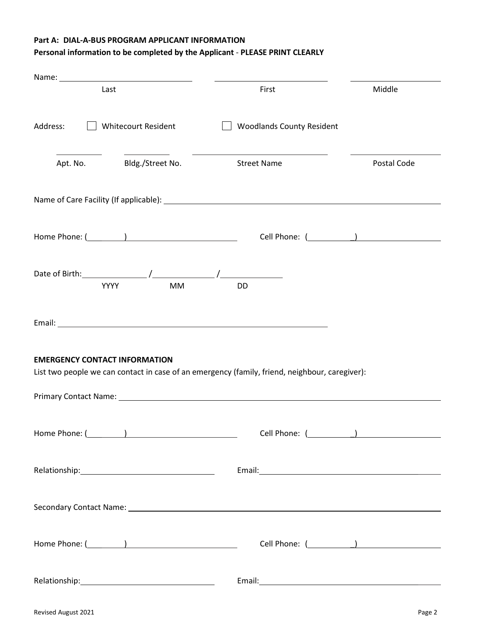#### **Part A: DIAL-A-BUS PROGRAM APPLICANT INFORMATION**

## **Personal information to be completed by the Applicant** - **PLEASE PRINT CLEARLY**

|                                      | Name: 2008 2010 2020 2021 2022 2023 2024 2022 2022 2023 2024 2022 2023 2024 2022 2023 2024 2022 2023 2024 2025 |                                                                                                                                                                                                                                                                                                                                  |                 |
|--------------------------------------|----------------------------------------------------------------------------------------------------------------|----------------------------------------------------------------------------------------------------------------------------------------------------------------------------------------------------------------------------------------------------------------------------------------------------------------------------------|-----------------|
|                                      | Last                                                                                                           | First                                                                                                                                                                                                                                                                                                                            | Middle          |
| Address:                             | <b>Whitecourt Resident</b>                                                                                     | <b>Woodlands County Resident</b>                                                                                                                                                                                                                                                                                                 |                 |
|                                      | Apt. No. Bldg./Street No.                                                                                      | <b>Street Name</b>                                                                                                                                                                                                                                                                                                               | Postal Code     |
|                                      |                                                                                                                | Name of Care Facility (If applicable): Name of Care and Care and Care and Care and Care and Care and Care and C                                                                                                                                                                                                                  |                 |
|                                      |                                                                                                                |                                                                                                                                                                                                                                                                                                                                  | Cell Phone: ( ) |
|                                      | YYYY<br><b>MM</b>                                                                                              | <b>DD</b>                                                                                                                                                                                                                                                                                                                        |                 |
|                                      |                                                                                                                |                                                                                                                                                                                                                                                                                                                                  |                 |
| <b>EMERGENCY CONTACT INFORMATION</b> |                                                                                                                | List two people we can contact in case of an emergency (family, friend, neighbour, caregiver):<br>Primary Contact Name: Name and Secretary Contract Department of the Contract Oriental Contract Oriental Contract Oriental Contract Oriental Contract Oriental Contract Oriental Contract Oriental Contract Oriental Contract O |                 |
|                                      |                                                                                                                |                                                                                                                                                                                                                                                                                                                                  |                 |
|                                      |                                                                                                                |                                                                                                                                                                                                                                                                                                                                  |                 |
|                                      |                                                                                                                |                                                                                                                                                                                                                                                                                                                                  |                 |
|                                      |                                                                                                                |                                                                                                                                                                                                                                                                                                                                  |                 |
|                                      |                                                                                                                |                                                                                                                                                                                                                                                                                                                                  |                 |
| Revised August 2021                  |                                                                                                                |                                                                                                                                                                                                                                                                                                                                  | Page 2          |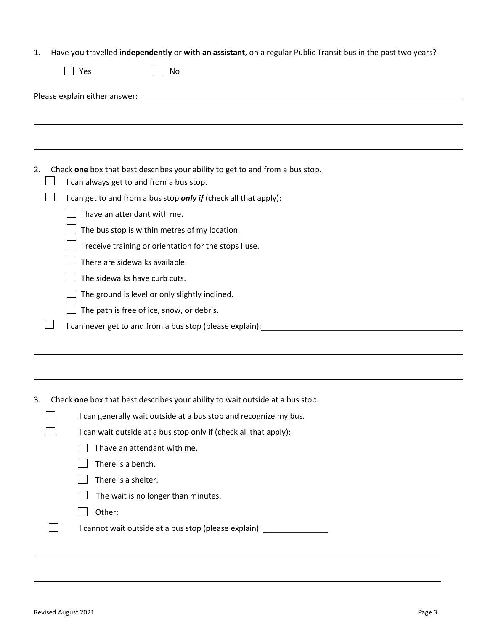|  |  |  | Have you travelled independently or with an assistant, on a regular Public Transit bus in the past two years? |
|--|--|--|---------------------------------------------------------------------------------------------------------------|
|--|--|--|---------------------------------------------------------------------------------------------------------------|

|    | Yes                                                                                                                                                                                                                                                                                         | No                                                                                                                                                                                                          |
|----|---------------------------------------------------------------------------------------------------------------------------------------------------------------------------------------------------------------------------------------------------------------------------------------------|-------------------------------------------------------------------------------------------------------------------------------------------------------------------------------------------------------------|
|    |                                                                                                                                                                                                                                                                                             |                                                                                                                                                                                                             |
|    |                                                                                                                                                                                                                                                                                             |                                                                                                                                                                                                             |
|    |                                                                                                                                                                                                                                                                                             |                                                                                                                                                                                                             |
| 2. | I can always get to and from a bus stop.<br>I have an attendant with me.<br>The bus stop is within metres of my location.<br>There are sidewalks available.<br>The sidewalks have curb cuts.<br>The ground is level or only slightly inclined.<br>The path is free of ice, snow, or debris. | Check one box that best describes your ability to get to and from a bus stop.<br>I can get to and from a bus stop only if (check all that apply):<br>I receive training or orientation for the stops I use. |
|    |                                                                                                                                                                                                                                                                                             | I can never get to and from a bus stop (please explain): _______________                                                                                                                                    |

# 3. Check **one** box that best describes your ability to wait outside at a bus stop.

| I can generally wait outside at a bus stop and recognize my bus. |  |  |
|------------------------------------------------------------------|--|--|
| I can wait outside at a bus stop only if (check all that apply): |  |  |
| I have an attendant with me.                                     |  |  |
| There is a bench.                                                |  |  |
| There is a shelter.                                              |  |  |
| The wait is no longer than minutes.                              |  |  |
| Other:                                                           |  |  |

 $\Box$ I cannot wait outside at a bus stop (please explain): \_\_\_\_\_\_\_\_\_\_\_\_\_\_\_\_\_\_\_\_\_\_\_\_\_\_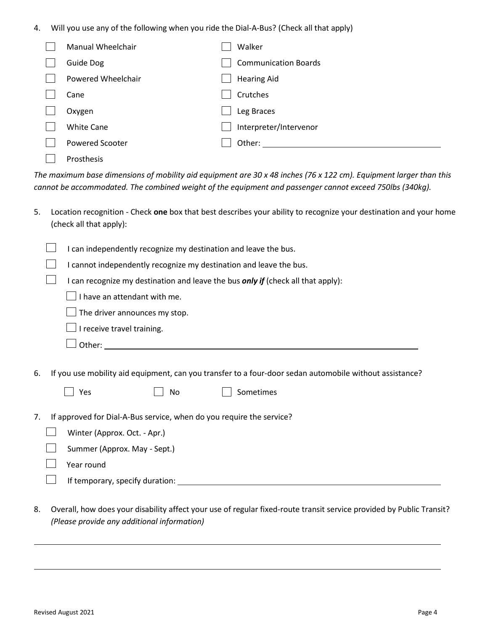4. Will you use any of the following when you ride the Dial-A-Bus? (Check all that apply)

| Manual Wheelchair      | Walker                      |
|------------------------|-----------------------------|
| <b>Guide Dog</b>       | <b>Communication Boards</b> |
| Powered Wheelchair     | <b>Hearing Aid</b>          |
| Cane                   | Crutches                    |
| Oxygen                 | Leg Braces                  |
| <b>White Cane</b>      | Interpreter/Intervenor      |
| <b>Powered Scooter</b> | Other:                      |
| <b>Prosthesis</b>      |                             |

The maximum base dimensions of mobility aid equipment are 30 x 48 inches (76 x 122 cm). Equipment larger than this *cannot be accommodated. The combined weight of the equipment and passenger cannot exceed 750lbs (340kg).*

| 5. Location recognition - Check one box that best describes your ability to recognize your destination and your home |
|----------------------------------------------------------------------------------------------------------------------|
| (check all that apply):                                                                                              |

I can independently recognize my destination and leave the bus.  $\mathcal{L}_{\mathcal{A}}$ I cannot independently recognize my destination and leave the bus.  $\mathcal{L}^{\text{max}}$ I can recognize my destination and leave the bus *only if* (check all that apply):  $\Box$  I have an attendant with me.  $\Box$  The driver announces my stop.  $\Box$  I receive travel training.  $\Box$  Other:  $\_\_\_\_\_\_\_\_\_\_\_$ 6. If you use mobility aid equipment, can you transfer to a four-door sedan automobile without assistance? || Yes || No || Sometimes 7. If approved for Dial-A-Bus service, when do you require the service?  $\Box$ Winter (Approx. Oct. - Apr.)  $\Box$ Summer (Approx. May - Sept.)

Year round

 $\vert \ \ \vert$ 

If temporary, specify duration:

8. Overall, how does your disability affect your use of regular fixed-route transit service provided by Public Transit? *(Please provide any additional information)*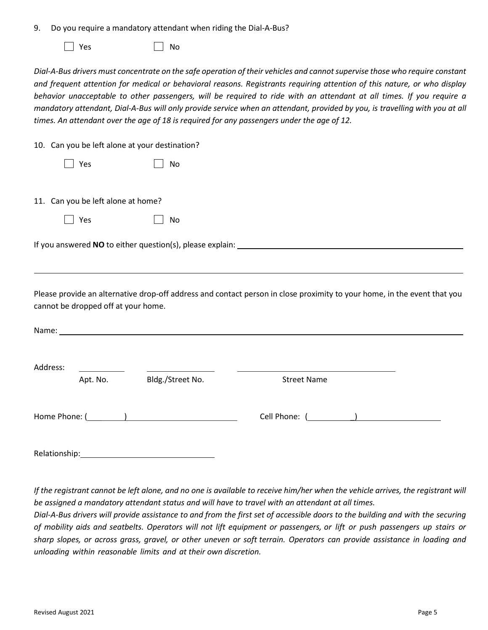| 9. Do you require a mandatory attendant when riding the Dial-A-Bus? |  |
|---------------------------------------------------------------------|--|
|---------------------------------------------------------------------|--|

 $\Box$  Yes  $\Box$  No

*Dial-A-Bus drivers must concentrate on the safe operation of their vehicles and cannotsupervise those who require constant and frequent attention for medical or behavioral reasons. Registrants requiring attention of this nature, or who display behavior unacceptable to other passengers, will be required to ride with an attendant at all times. If you require a*  mandatory attendant, Dial-A-Bus will only provide service when an attendant, provided by you, is travelling with you at all *times. An attendant over the age of 18 is required for any passengers under the age of 12.*

10. Can you be left alone at your destination?

|               |                                     | $\frac{1}{20}$ . Can fou be fort dione at four acountation.                                                                                                                                                                    |                                                                                                                          |  |
|---------------|-------------------------------------|--------------------------------------------------------------------------------------------------------------------------------------------------------------------------------------------------------------------------------|--------------------------------------------------------------------------------------------------------------------------|--|
|               | Yes                                 | No                                                                                                                                                                                                                             |                                                                                                                          |  |
|               | 11. Can you be left alone at home?  |                                                                                                                                                                                                                                |                                                                                                                          |  |
|               | Yes                                 | No                                                                                                                                                                                                                             |                                                                                                                          |  |
|               |                                     |                                                                                                                                                                                                                                |                                                                                                                          |  |
|               | cannot be dropped off at your home. |                                                                                                                                                                                                                                | Please provide an alternative drop-off address and contact person in close proximity to your home, in the event that you |  |
|               |                                     | Name: Name and the state of the state of the state of the state of the state of the state of the state of the state of the state of the state of the state of the state of the state of the state of the state of the state of |                                                                                                                          |  |
| Address:      |                                     |                                                                                                                                                                                                                                |                                                                                                                          |  |
|               | Apt. No.                            | Bldg./Street No.                                                                                                                                                                                                               | <b>Street Name</b>                                                                                                       |  |
| Home Phone: ( |                                     |                                                                                                                                                                                                                                | Cell Phone:                                                                                                              |  |

Relationship: The contract of the contract of the contract of the contract of the contract of the contract of the contract of the contract of the contract of the contract of the contract of the contract of the contract of

If the registrant cannot be left alone, and no one is available to receive him/her when the vehicle arrives, the registrant will *be assigned a mandatory attendant status and will have to travel with an attendant at all times.*

Dial-A-Bus drivers will provide assistance to and from the first set of accessible doors to the building and with the securing of mobility aids and seatbelts. Operators will not lift equipment or passengers, or lift or push passengers up stairs or sharp slopes, or across grass, gravel, or other uneven or soft terrain. Operators can provide assistance in loading and *unloading within reasonable limits and at their own discretion.*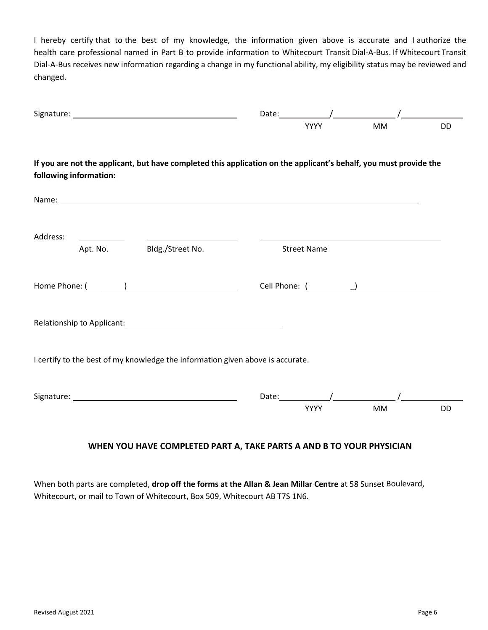I hereby certify that to the best of my knowledge, the information given above is accurate and I authorize the health care professional named in Part B to provide information to Whitecourt Transit Dial-A-Bus. If Whitecourt Transit Dial-A-Bus receives new information regarding a change in my functional ability, my eligibility status may be reviewed and changed.

|                                                                                                                                                                                                                                | <b>YYYY</b>              | <b>MM</b> | <b>DD</b> |
|--------------------------------------------------------------------------------------------------------------------------------------------------------------------------------------------------------------------------------|--------------------------|-----------|-----------|
| If you are not the applicant, but have completed this application on the applicant's behalf, you must provide the<br>following information:                                                                                    |                          |           |           |
|                                                                                                                                                                                                                                |                          |           |           |
| Address:<br><u> 1990 - John Harry Harry Harry Harry Harry Harry Harry Harry Harry Harry Harry Harry Harry Harry Harry Harry</u><br>Bldg./Street No.<br>Apt. No.                                                                | <b>Street Name</b>       |           |           |
|                                                                                                                                                                                                                                |                          |           |           |
| Relationship to Applicant: Note and the set of the set of the set of the set of the set of the set of the set of the set of the set of the set of the set of the set of the set of the set of the set of the set of the set of |                          |           |           |
| I certify to the best of my knowledge the information given above is accurate.                                                                                                                                                 |                          |           |           |
|                                                                                                                                                                                                                                | Date: $\sqrt{ }$<br>YYYY | <b>MM</b> | <b>DD</b> |

# **WHEN YOU HAVE COMPLETED PART A, TAKE PARTS A AND B TO YOUR PHYSICIAN**

When both parts are completed, **drop off the forms at the Allan & Jean Millar Centre** at 58 Sunset Boulevard, Whitecourt, or mail to Town of Whitecourt, Box 509, Whitecourt AB T7S 1N6.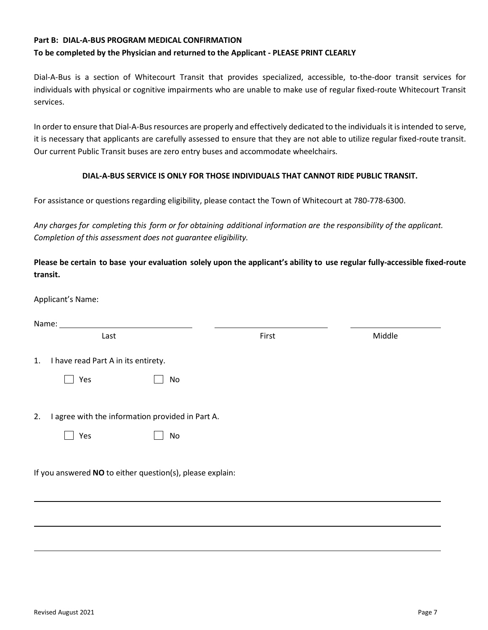# **Part B: DIAL-A-BUS PROGRAM MEDICAL CONFIRMATION To be completed by the Physician and returned to the Applicant - PLEASE PRINT CLEARLY**

Dial-A-Bus is a section of Whitecourt Transit that provides specialized, accessible, to-the-door transit services for individuals with physical or cognitive impairments who are unable to make use of regular fixed-route Whitecourt Transit services.

In order to ensure that Dial-A-Bus resources are properly and effectively dedicated to the individuals it is intended to serve, it is necessary that applicants are carefully assessed to ensure that they are not able to utilize regular fixed-route transit. Our current Public Transit buses are zero entry buses and accommodate wheelchairs.

#### **DIAL-A-BUS SERVICE IS ONLY FOR THOSE INDIVIDUALS THAT CANNOT RIDE PUBLIC TRANSIT.**

For assistance or questions regarding eligibility, please contact the Town of Whitecourt at 780-778-6300.

*Any charges for completing this form or for obtaining additional information are the responsibility of the applicant. Completion of this assessment does not guarantee eligibility.*

**Please be certain to base your evaluation solely upon the applicant's ability to use regular fully-accessible fixed-route transit.**

Applicant's Name:

| Last                                                      | First | Middle |  |  |  |
|-----------------------------------------------------------|-------|--------|--|--|--|
| I have read Part A in its entirety.<br>1.                 |       |        |  |  |  |
| Yes                                                       | No    |        |  |  |  |
|                                                           |       |        |  |  |  |
| I agree with the information provided in Part A.<br>2.    |       |        |  |  |  |
| Yes                                                       | No    |        |  |  |  |
|                                                           |       |        |  |  |  |
| If you answered NO to either question(s), please explain: |       |        |  |  |  |
|                                                           |       |        |  |  |  |
|                                                           |       |        |  |  |  |
|                                                           |       |        |  |  |  |
|                                                           |       |        |  |  |  |
|                                                           |       |        |  |  |  |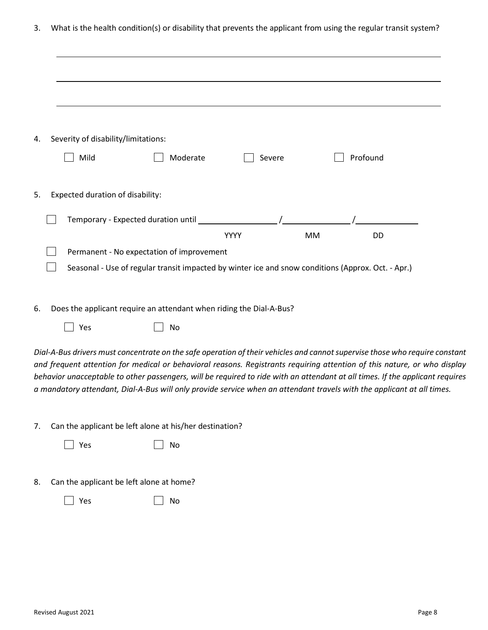3. What is the health condition(s) or disability that prevents the applicant from using the regular transit system?

| 4. | Severity of disability/limitations:<br>Mild                                                                                                                                                                                                                                                                                                                                                                                                                                                                        | Moderate                                                                                           | Severe      |           | Profound  |  |
|----|--------------------------------------------------------------------------------------------------------------------------------------------------------------------------------------------------------------------------------------------------------------------------------------------------------------------------------------------------------------------------------------------------------------------------------------------------------------------------------------------------------------------|----------------------------------------------------------------------------------------------------|-------------|-----------|-----------|--|
|    |                                                                                                                                                                                                                                                                                                                                                                                                                                                                                                                    |                                                                                                    |             |           |           |  |
| 5. | Expected duration of disability:                                                                                                                                                                                                                                                                                                                                                                                                                                                                                   |                                                                                                    |             |           |           |  |
|    |                                                                                                                                                                                                                                                                                                                                                                                                                                                                                                                    |                                                                                                    |             |           |           |  |
|    |                                                                                                                                                                                                                                                                                                                                                                                                                                                                                                                    |                                                                                                    | <b>YYYY</b> | <b>MM</b> | <b>DD</b> |  |
|    |                                                                                                                                                                                                                                                                                                                                                                                                                                                                                                                    | Permanent - No expectation of improvement                                                          |             |           |           |  |
|    |                                                                                                                                                                                                                                                                                                                                                                                                                                                                                                                    | Seasonal - Use of regular transit impacted by winter ice and snow conditions (Approx. Oct. - Apr.) |             |           |           |  |
| 6. | Does the applicant require an attendant when riding the Dial-A-Bus?                                                                                                                                                                                                                                                                                                                                                                                                                                                |                                                                                                    |             |           |           |  |
|    | Yes                                                                                                                                                                                                                                                                                                                                                                                                                                                                                                                | No                                                                                                 |             |           |           |  |
|    | Dial-A-Bus drivers must concentrate on the safe operation of their vehicles and cannot supervise those who require constant<br>and frequent attention for medical or behavioral reasons. Registrants requiring attention of this nature, or who display<br>behavior unacceptable to other passengers, will be required to ride with an attendant at all times. If the applicant requires<br>a mandatory attendant, Dial-A-Bus will only provide service when an attendant travels with the applicant at all times. |                                                                                                    |             |           |           |  |
| 7. | Can the applicant be left alone at his/her destination?                                                                                                                                                                                                                                                                                                                                                                                                                                                            |                                                                                                    |             |           |           |  |
|    | Yes                                                                                                                                                                                                                                                                                                                                                                                                                                                                                                                | No                                                                                                 |             |           |           |  |

8. Can the applicant be left alone at home?

| $\vert$ Yes | $\Box$ No |
|-------------|-----------|
|             |           |